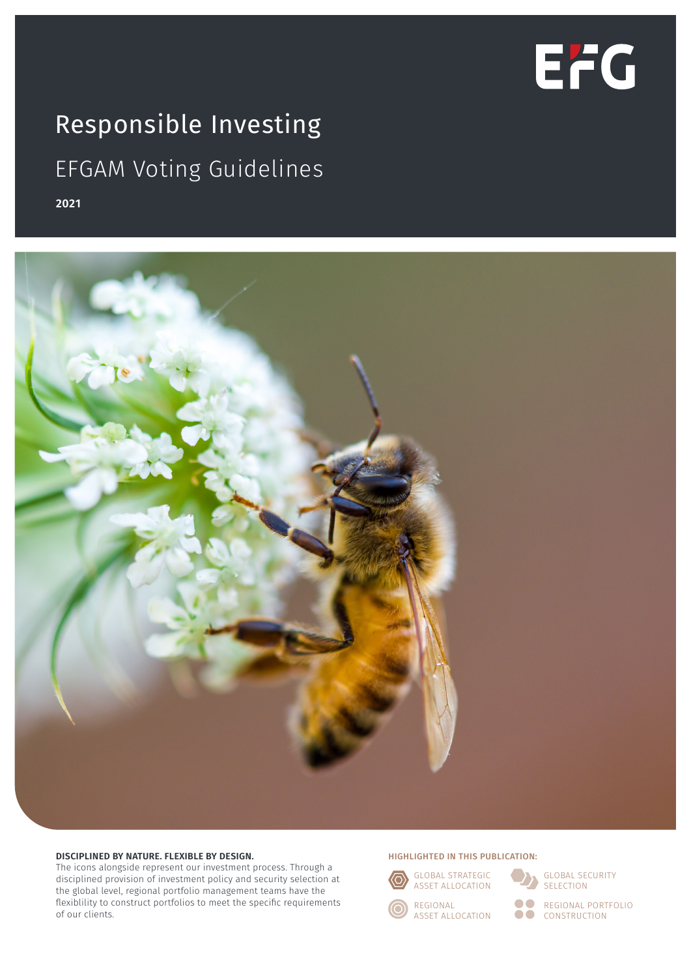

# Responsible Investing EFGAM Voting Guidelines

**2021**



#### **DISCIPLINED BY NATURE. FLEXIBLE BY DESIGN.**

The icons alongside represent our investment process. Through a disciplined provision of investment policy and security selection at the global level, regional portfolio management teams have the flexiblility to construct portfolios to meet the specific requirements of our clients.

#### HIGHLIGHTED IN THIS PUBLICATION:



88 80

GLOBAL SECURITY SELECTION

REGIONAL PORTFOLIO CONSTRUCTION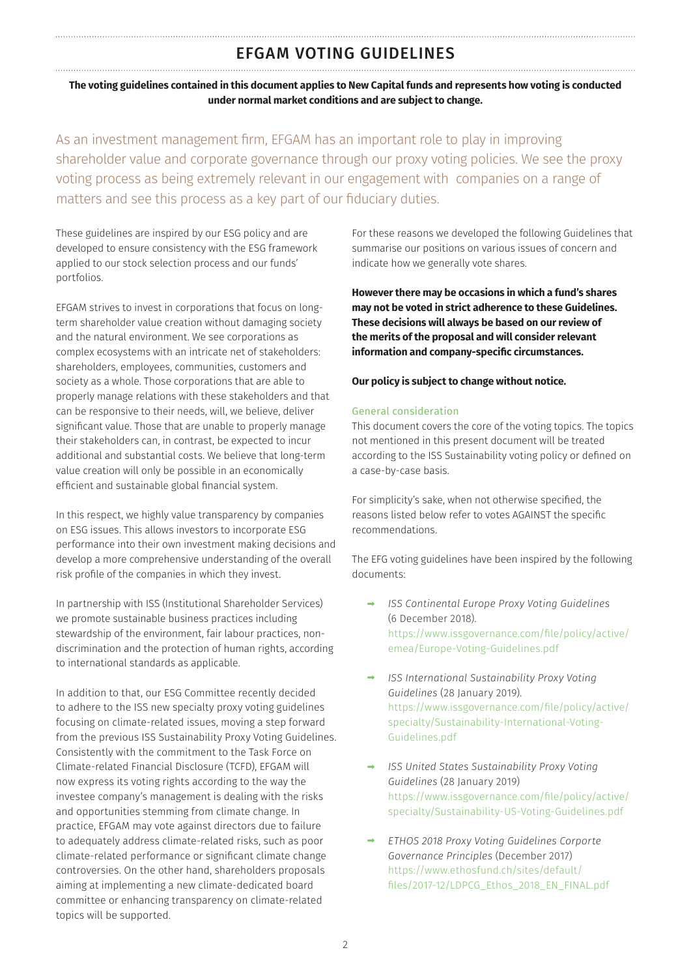## EFGAM VOTING GUIDELINES

**The voting guidelines contained in this document applies to New Capital funds and represents how voting is conducted under normal market conditions and are subject to change.**

As an investment management firm, EFGAM has an important role to play in improving shareholder value and corporate governance through our proxy voting policies. We see the proxy voting process as being extremely relevant in our engagement with companies on a range of matters and see this process as a key part of our fiduciary duties.

These guidelines are inspired by our ESG policy and are developed to ensure consistency with the ESG framework applied to our stock selection process and our funds' portfolios.

EFGAM strives to invest in corporations that focus on longterm shareholder value creation without damaging society and the natural environment. We see corporations as complex ecosystems with an intricate net of stakeholders: shareholders, employees, communities, customers and society as a whole. Those corporations that are able to properly manage relations with these stakeholders and that can be responsive to their needs, will, we believe, deliver significant value. Those that are unable to properly manage their stakeholders can, in contrast, be expected to incur additional and substantial costs. We believe that long-term value creation will only be possible in an economically efficient and sustainable global financial system.

In this respect, we highly value transparency by companies on ESG issues. This allows investors to incorporate ESG performance into their own investment making decisions and develop a more comprehensive understanding of the overall risk profile of the companies in which they invest.

In partnership with ISS (Institutional Shareholder Services) we promote sustainable business practices including stewardship of the environment, fair labour practices, nondiscrimination and the protection of human rights, according to international standards as applicable.

In addition to that, our ESG Committee recently decided to adhere to the ISS new specialty proxy voting guidelines focusing on climate-related issues, moving a step forward from the previous ISS Sustainability Proxy Voting Guidelines. Consistently with the commitment to the Task Force on Climate-related Financial Disclosure (TCFD), EFGAM will now express its voting rights according to the way the investee company's management is dealing with the risks and opportunities stemming from climate change. In practice, EFGAM may vote against directors due to failure to adequately address climate-related risks, such as poor climate-related performance or significant climate change controversies. On the other hand, shareholders proposals aiming at implementing a new climate-dedicated board committee or enhancing transparency on climate-related topics will be supported.

For these reasons we developed the following Guidelines that summarise our positions on various issues of concern and indicate how we generally vote shares.

**However there may be occasions in which a fund's shares may not be voted in strict adherence to these Guidelines. These decisions will always be based on our review of the merits of the proposal and will consider relevant information and company-specific circumstances.** 

## **Our policy is subject to change without notice.**

### General consideration

This document covers the core of the voting topics. The topics not mentioned in this present document will be treated according to the ISS Sustainability voting policy or defined on a case-by-case basis.

For simplicity's sake, when not otherwise specified, the reasons listed below refer to votes AGAINST the specific recommendations.

The EFG voting guidelines have been inspired by the following documents:

- ➡ *ISS Continental Europe Proxy Voting Guidelines* (6 December 2018). https://www.issgovernance.com/file/policy/active/ emea/Europe-Voting-Guidelines.pdf
- ➡ *ISS International Sustainability Proxy Voting Guidelines* (28 January 2019). https://www.issgovernance.com/file/policy/active/ specialty/Sustainability-International-Voting-Guidelines.pdf
- ➡ *ISS United States Sustainability Proxy Voting Guidelines* (28 January 2019) https://www.issgovernance.com/file/policy/active/ specialty/Sustainability-US-Voting-Guidelines.pdf
- ➡ *ETHOS 2018 Proxy Voting Guidelines Corporte Governance Principles* (December 2017) https://www.ethosfund.ch/sites/default/ files/2017-12/LDPCG\_Ethos\_2018\_EN\_FINAL.pdf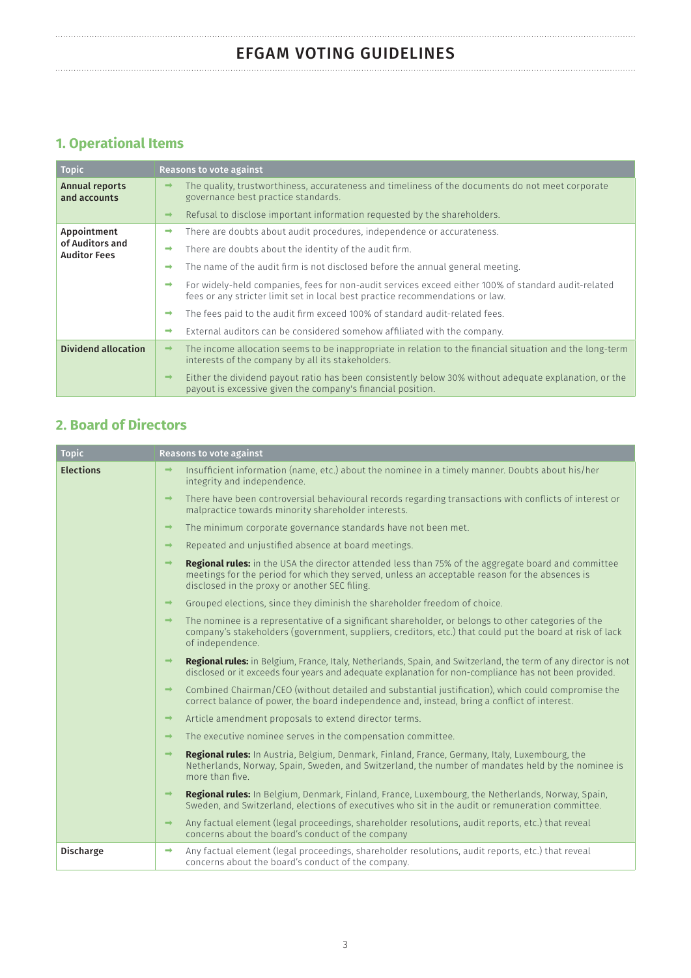# EFGAM VOTING GUIDELINES

# **1. Operational Items**

| <b>Topic</b>                                          | Reasons to vote against                                                                                                                                                                               |  |  |
|-------------------------------------------------------|-------------------------------------------------------------------------------------------------------------------------------------------------------------------------------------------------------|--|--|
| <b>Annual reports</b><br>and accounts                 | The quality, trustworthiness, accurateness and timeliness of the documents do not meet corporate<br>$\rightarrow$<br>governance best practice standards.                                              |  |  |
|                                                       | Refusal to disclose important information requested by the shareholders.<br>$\rightarrow$                                                                                                             |  |  |
| Appointment<br>of Auditors and<br><b>Auditor Fees</b> | There are doubts about audit procedures, independence or accurateness.<br>➡                                                                                                                           |  |  |
|                                                       | There are doubts about the identity of the audit firm.<br>$\rightarrow$                                                                                                                               |  |  |
|                                                       | The name of the audit firm is not disclosed before the annual general meeting.<br>$\rightarrow$                                                                                                       |  |  |
|                                                       | For widely-held companies, fees for non-audit services exceed either 100% of standard audit-related<br>$\rightarrow$<br>fees or any stricter limit set in local best practice recommendations or law. |  |  |
|                                                       | The fees paid to the audit firm exceed 100% of standard audit-related fees.<br>$\rightarrow$                                                                                                          |  |  |
|                                                       | External auditors can be considered somehow affiliated with the company.<br>$\rightarrow$                                                                                                             |  |  |
| Dividend allocation                                   | The income allocation seems to be inappropriate in relation to the financial situation and the long-term<br>$\rightarrow$<br>interests of the company by all its stakeholders.                        |  |  |
|                                                       | Either the dividend payout ratio has been consistently below 30% without adequate explanation, or the<br>$\rightarrow$<br>payout is excessive given the company's financial position.                 |  |  |

## **2. Board of Directors**

| <b>Topic</b>     | <b>Reasons to vote against</b> |                                                                                                                                                                                                                                                               |  |  |  |
|------------------|--------------------------------|---------------------------------------------------------------------------------------------------------------------------------------------------------------------------------------------------------------------------------------------------------------|--|--|--|
| <b>Elections</b> | $\rightarrow$                  | Insufficient information (name, etc.) about the nominee in a timely manner. Doubts about his/her<br>integrity and independence.                                                                                                                               |  |  |  |
|                  | $\rightarrow$                  | There have been controversial behavioural records regarding transactions with conflicts of interest or<br>malpractice towards minority shareholder interests.                                                                                                 |  |  |  |
|                  | $\rightarrow$                  | The minimum corporate governance standards have not been met.                                                                                                                                                                                                 |  |  |  |
|                  | $\rightarrow$                  | Repeated and unjustified absence at board meetings.                                                                                                                                                                                                           |  |  |  |
|                  | $\rightarrow$                  | <b>Regional rules:</b> in the USA the director attended less than 75% of the aggregate board and committee<br>meetings for the period for which they served, unless an acceptable reason for the absences is<br>disclosed in the proxy or another SEC filing. |  |  |  |
|                  | $\rightarrow$                  | Grouped elections, since they diminish the shareholder freedom of choice.                                                                                                                                                                                     |  |  |  |
|                  | $\rightarrow$                  | The nominee is a representative of a significant shareholder, or belongs to other categories of the<br>company's stakeholders (government, suppliers, creditors, etc.) that could put the board at risk of lack<br>of independence.                           |  |  |  |
|                  | $\rightarrow$                  | Regional rules: in Belgium, France, Italy, Netherlands, Spain, and Switzerland, the term of any director is not<br>disclosed or it exceeds four years and adequate explanation for non-compliance has not been provided.                                      |  |  |  |
|                  | $\rightarrow$                  | Combined Chairman/CEO (without detailed and substantial justification), which could compromise the<br>correct balance of power, the board independence and, instead, bring a conflict of interest.                                                            |  |  |  |
|                  | $\rightarrow$                  | Article amendment proposals to extend director terms.                                                                                                                                                                                                         |  |  |  |
|                  | $\rightarrow$                  | The executive nominee serves in the compensation committee.                                                                                                                                                                                                   |  |  |  |
|                  | $\rightarrow$                  | Regional rules: In Austria, Belgium, Denmark, Finland, France, Germany, Italy, Luxembourg, the<br>Netherlands, Norway, Spain, Sweden, and Switzerland, the number of mandates held by the nominee is<br>more than five.                                       |  |  |  |
|                  | $\rightarrow$                  | Regional rules: In Belgium, Denmark, Finland, France, Luxembourg, the Netherlands, Norway, Spain,<br>Sweden, and Switzerland, elections of executives who sit in the audit or remuneration committee.                                                         |  |  |  |
|                  | $\rightarrow$                  | Any factual element (legal proceedings, shareholder resolutions, audit reports, etc.) that reveal<br>concerns about the board's conduct of the company                                                                                                        |  |  |  |
| <b>Discharge</b> | $\rightarrow$                  | Any factual element (legal proceedings, shareholder resolutions, audit reports, etc.) that reveal<br>concerns about the board's conduct of the company.                                                                                                       |  |  |  |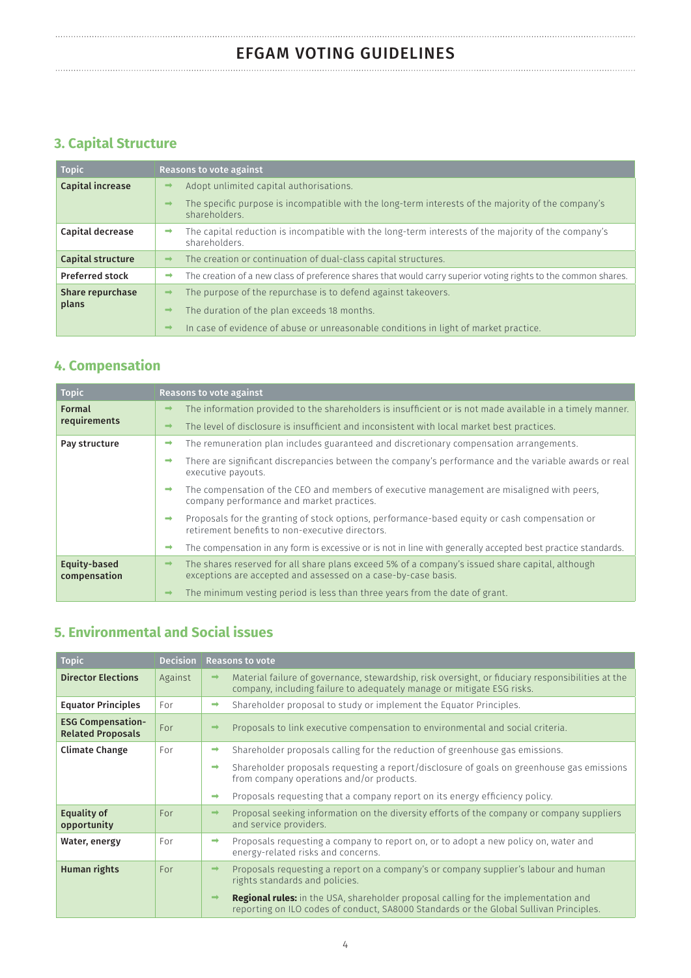# **3. Capital Structure**

| <b>Topic</b>             | <b>Reasons to vote against</b>                                                                                                       |  |  |  |
|--------------------------|--------------------------------------------------------------------------------------------------------------------------------------|--|--|--|
| Capital increase         | Adopt unlimited capital authorisations.<br>$\rightarrow$                                                                             |  |  |  |
|                          | The specific purpose is incompatible with the long-term interests of the majority of the company's<br>$\rightarrow$<br>shareholders. |  |  |  |
| Capital decrease         | The capital reduction is incompatible with the long-term interests of the majority of the company's<br>shareholders.                 |  |  |  |
| <b>Capital structure</b> | The creation or continuation of dual-class capital structures.<br>$\rightarrow$                                                      |  |  |  |
| <b>Preferred stock</b>   | The creation of a new class of preference shares that would carry superior voting rights to the common shares.<br>$\rightarrow$      |  |  |  |
| <b>Share repurchase</b>  | The purpose of the repurchase is to defend against takeovers.<br>$\rightarrow$                                                       |  |  |  |
| plans                    | The duration of the plan exceeds 18 months.<br>$\rightarrow$                                                                         |  |  |  |
|                          | In case of evidence of abuse or unreasonable conditions in light of market practice.<br>$\rightarrow$                                |  |  |  |

## **4. Compensation**

| <b>Topic</b>                  | <b>Reasons to vote against</b>                                                                                                                                                    |  |  |  |
|-------------------------------|-----------------------------------------------------------------------------------------------------------------------------------------------------------------------------------|--|--|--|
| <b>Formal</b><br>requirements | The information provided to the shareholders is insufficient or is not made available in a timely manner.<br>-                                                                    |  |  |  |
|                               | The level of disclosure is insufficient and inconsistent with local market best practices.<br>-                                                                                   |  |  |  |
| Pay structure                 | The remuneration plan includes guaranteed and discretionary compensation arrangements.                                                                                            |  |  |  |
|                               | There are significant discrepancies between the company's performance and the variable awards or real<br>$\rightarrow$<br>executive payouts.                                      |  |  |  |
|                               | The compensation of the CEO and members of executive management are misaligned with peers.<br>$\rightarrow$<br>company performance and market practices.                          |  |  |  |
|                               | Proposals for the granting of stock options, performance-based equity or cash compensation or<br>$\rightarrow$<br>retirement benefits to non-executive directors.                 |  |  |  |
|                               | The compensation in any form is excessive or is not in line with generally accepted best practice standards.<br>$\rightarrow$                                                     |  |  |  |
| Equity-based<br>compensation  | The shares reserved for all share plans exceed 5% of a company's issued share capital, although<br>$\rightarrow$<br>exceptions are accepted and assessed on a case-by-case basis. |  |  |  |
|                               | The minimum vesting period is less than three years from the date of grant.<br>$\rightarrow$                                                                                      |  |  |  |

## **5. Environmental and Social issues**

| <b>Topic</b>                                         | <b>Decision</b> | <b>Reasons to vote</b> |                                                                                                                                                                                      |  |
|------------------------------------------------------|-----------------|------------------------|--------------------------------------------------------------------------------------------------------------------------------------------------------------------------------------|--|
| <b>Director Elections</b>                            | Against         | $\rightarrow$          | Material failure of governance, stewardship, risk oversight, or fiduciary responsibilities at the<br>company, including failure to adequately manage or mitigate ESG risks.          |  |
| <b>Equator Principles</b>                            | For             | $\rightarrow$          | Shareholder proposal to study or implement the Equator Principles.                                                                                                                   |  |
| <b>ESG Compensation-</b><br><b>Related Proposals</b> | For             | $\rightarrow$          | Proposals to link executive compensation to environmental and social criteria.                                                                                                       |  |
| <b>Climate Change</b>                                | For             | $\rightarrow$          | Shareholder proposals calling for the reduction of greenhouse gas emissions.                                                                                                         |  |
|                                                      |                 | $\rightarrow$          | Shareholder proposals requesting a report/disclosure of goals on greenhouse gas emissions<br>from company operations and/or products.                                                |  |
|                                                      |                 | $\rightarrow$          | Proposals requesting that a company report on its energy efficiency policy.                                                                                                          |  |
| Equality of<br>opportunity                           | For             | $\rightarrow$          | Proposal seeking information on the diversity efforts of the company or company suppliers<br>and service providers.                                                                  |  |
| Water, energy                                        | For             | $\rightarrow$          | Proposals requesting a company to report on, or to adopt a new policy on, water and<br>energy-related risks and concerns.                                                            |  |
| Human rights                                         | For             | $\rightarrow$          | Proposals requesting a report on a company's or company supplier's labour and human<br>rights standards and policies.                                                                |  |
|                                                      |                 | $\longrightarrow$      | <b>Regional rules:</b> in the USA, shareholder proposal calling for the implementation and<br>reporting on ILO codes of conduct, SA8000 Standards or the Global Sullivan Principles. |  |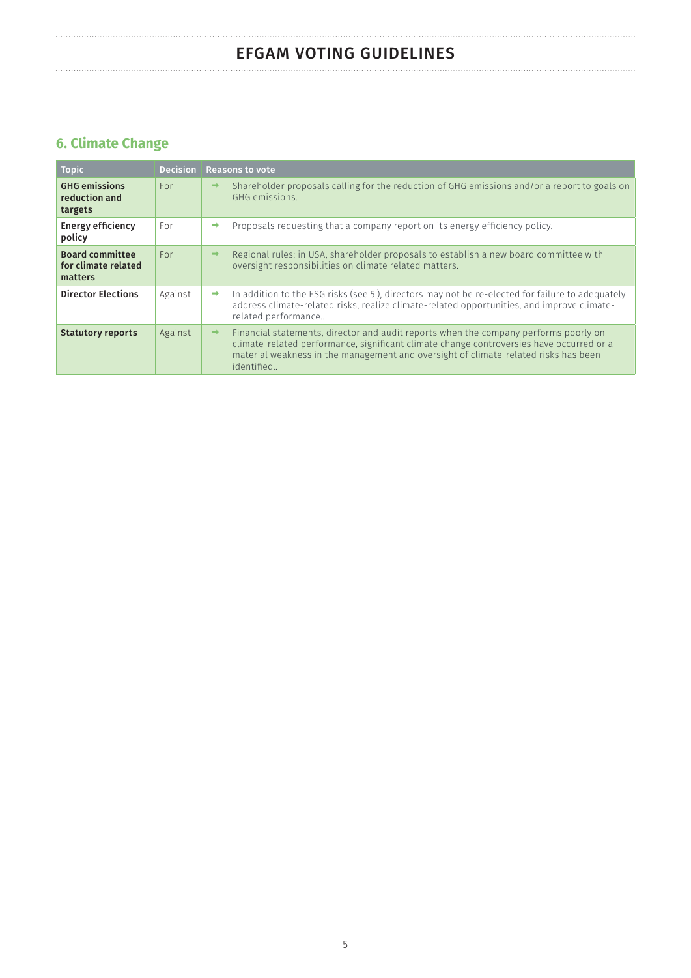# EFGAM VOTING GUIDELINES

# **6. Climate Change**

| <b>Topic</b>                                             | <b>Decision</b> | <b>Reasons to vote</b> |                                                                                                                                                                                                                                                                                       |  |
|----------------------------------------------------------|-----------------|------------------------|---------------------------------------------------------------------------------------------------------------------------------------------------------------------------------------------------------------------------------------------------------------------------------------|--|
| <b>GHG emissions</b><br>reduction and<br>targets         | For             | $\rightarrow$          | Shareholder proposals calling for the reduction of GHG emissions and/or a report to goals on<br>GHG emissions.                                                                                                                                                                        |  |
| <b>Energy efficiency</b><br>policy                       | For             | $\rightarrow$          | Proposals requesting that a company report on its energy efficiency policy.                                                                                                                                                                                                           |  |
| <b>Board committee</b><br>for climate related<br>matters | For             | $\rightarrow$          | Regional rules: in USA, shareholder proposals to establish a new board committee with<br>oversight responsibilities on climate related matters.                                                                                                                                       |  |
| <b>Director Elections</b>                                | Against         | $\rightarrow$          | In addition to the ESG risks (see 5.), directors may not be re-elected for failure to adequately<br>address climate-related risks, realize climate-related opportunities, and improve climate-<br>related performance                                                                 |  |
| <b>Statutory reports</b>                                 | Against         | $\rightarrow$          | Financial statements, director and audit reports when the company performs poorly on<br>climate-related performance, significant climate change controversies have occurred or a<br>material weakness in the management and oversight of climate-related risks has been<br>identified |  |